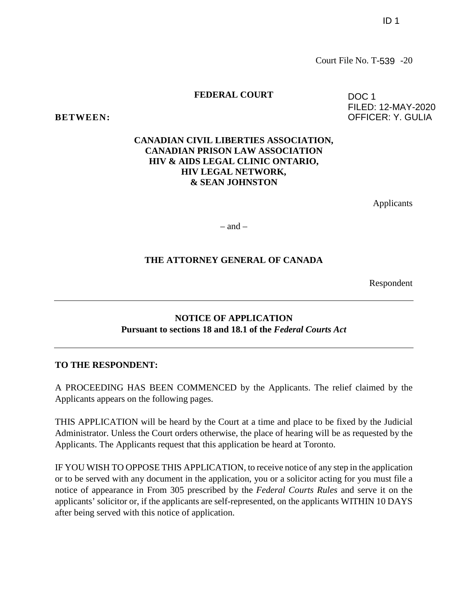FILED: 12-MAY-2020 OFFICER: Y. GULIA

Court File No. T-539 -20

DOC 1

#### **FEDERAL COURT**

**BETWEEN:**

## **CANADIAN CIVIL LIBERTIES ASSOCIATION, CANADIAN PRISON LAW ASSOCIATION HIV & AIDS LEGAL CLINIC ONTARIO, HIV LEGAL NETWORK, & SEAN JOHNSTON**

Applicants

 $-$  and  $-$ 

## **THE ATTORNEY GENERAL OF CANADA**

Respondent

## **NOTICE OF APPLICATION Pursuant to sections 18 and 18.1 of the** *Federal Courts Act*

#### **TO THE RESPONDENT:**

A PROCEEDING HAS BEEN COMMENCED by the Applicants. The relief claimed by the Applicants appears on the following pages.

THIS APPLICATION will be heard by the Court at a time and place to be fixed by the Judicial Administrator. Unless the Court orders otherwise, the place of hearing will be as requested by the Applicants. The Applicants request that this application be heard at Toronto.

IF YOU WISH TO OPPOSE THIS APPLICATION, to receive notice of any step in the application or to be served with any document in the application, you or a solicitor acting for you must file a notice of appearance in From 305 prescribed by the *Federal Courts Rules* and serve it on the applicants' solicitor or, if the applicants are self-represented, on the applicants WITHIN 10 DAYS after being served with this notice of application.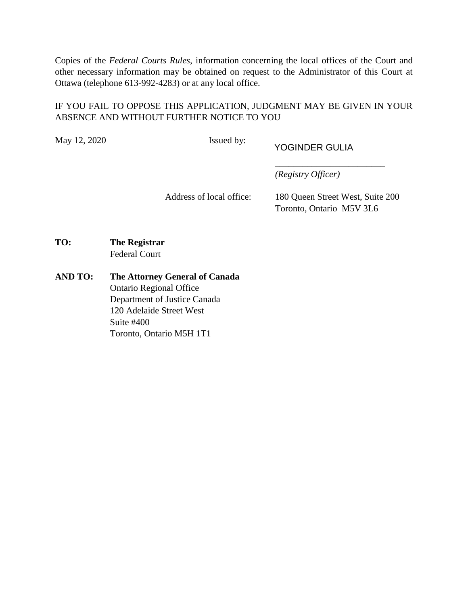Copies of the *Federal Courts Rules*, information concerning the local offices of the Court and other necessary information may be obtained on request to the Administrator of this Court at Ottawa (telephone 613-992-4283) or at any local office.

# IF YOU FAIL TO OPPOSE THIS APPLICATION, JUDGMENT MAY BE GIVEN IN YOUR ABSENCE AND WITHOUT FURTHER NOTICE TO YOU

May 12, 2020 **Issued by:** 

YOGINDER GULIA

*(Registry Officer)*

Address of local office: 180 Queen Street West, Suite 200 Toronto, Ontario M5V 3L6

\_\_\_\_\_\_\_\_\_\_\_\_\_\_\_\_\_\_\_\_\_\_\_\_

- **TO: The Registrar** Federal Court
- **AND TO: The Attorney General of Canada** Ontario Regional Office Department of Justice Canada 120 Adelaide Street West Suite #400 Toronto, Ontario M5H 1T1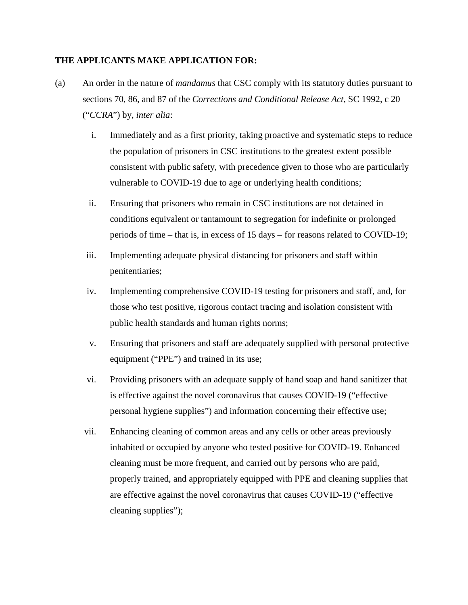## **THE APPLICANTS MAKE APPLICATION FOR:**

- (a) An order in the nature of *mandamus* that CSC comply with its statutory duties pursuant to sections 70, 86, and 87 of the *Corrections and Conditional Release Act*, SC 1992, c 20 ("*CCRA*") by, *inter alia*:
	- i. Immediately and as a first priority, taking proactive and systematic steps to reduce the population of prisoners in CSC institutions to the greatest extent possible consistent with public safety, with precedence given to those who are particularly vulnerable to COVID-19 due to age or underlying health conditions;
	- ii. Ensuring that prisoners who remain in CSC institutions are not detained in conditions equivalent or tantamount to segregation for indefinite or prolonged periods of time – that is, in excess of 15 days – for reasons related to COVID-19;
	- iii. Implementing adequate physical distancing for prisoners and staff within penitentiaries;
	- iv. Implementing comprehensive COVID-19 testing for prisoners and staff, and, for those who test positive, rigorous contact tracing and isolation consistent with public health standards and human rights norms;
	- v. Ensuring that prisoners and staff are adequately supplied with personal protective equipment ("PPE") and trained in its use;
	- vi. Providing prisoners with an adequate supply of hand soap and hand sanitizer that is effective against the novel coronavirus that causes COVID-19 ("effective personal hygiene supplies") and information concerning their effective use;
	- vii. Enhancing cleaning of common areas and any cells or other areas previously inhabited or occupied by anyone who tested positive for COVID-19. Enhanced cleaning must be more frequent, and carried out by persons who are paid, properly trained, and appropriately equipped with PPE and cleaning supplies that are effective against the novel coronavirus that causes COVID-19 ("effective cleaning supplies");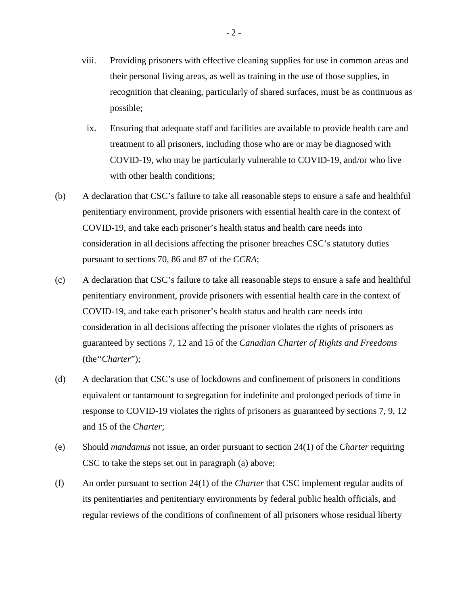- viii. Providing prisoners with effective cleaning supplies for use in common areas and their personal living areas, as well as training in the use of those supplies, in recognition that cleaning, particularly of shared surfaces, must be as continuous as possible;
- ix. Ensuring that adequate staff and facilities are available to provide health care and treatment to all prisoners, including those who are or may be diagnosed with COVID-19, who may be particularly vulnerable to COVID-19, and/or who live with other health conditions:
- (b) A declaration that CSC's failure to take all reasonable steps to ensure a safe and healthful penitentiary environment, provide prisoners with essential health care in the context of COVID-19, and take each prisoner's health status and health care needs into consideration in all decisions affecting the prisoner breaches CSC's statutory duties pursuant to sections 70, 86 and 87 of the *CCRA*;
- (c) A declaration that CSC's failure to take all reasonable steps to ensure a safe and healthful penitentiary environment, provide prisoners with essential health care in the context of COVID-19, and take each prisoner's health status and health care needs into consideration in all decisions affecting the prisoner violates the rights of prisoners as guaranteed by sections 7, 12 and 15 of the *Canadian Charter of Rights and Freedoms* (the*"Charter*");
- (d) A declaration that CSC's use of lockdowns and confinement of prisoners in conditions equivalent or tantamount to segregation for indefinite and prolonged periods of time in response to COVID-19 violates the rights of prisoners as guaranteed by sections 7, 9, 12 and 15 of the *Charter*;
- (e) Should *mandamus* not issue, an order pursuant to section 24(1) of the *Charter* requiring CSC to take the steps set out in paragraph (a) above;
- (f) An order pursuant to section 24(1) of the *Charter* that CSC implement regular audits of its penitentiaries and penitentiary environments by federal public health officials, and regular reviews of the conditions of confinement of all prisoners whose residual liberty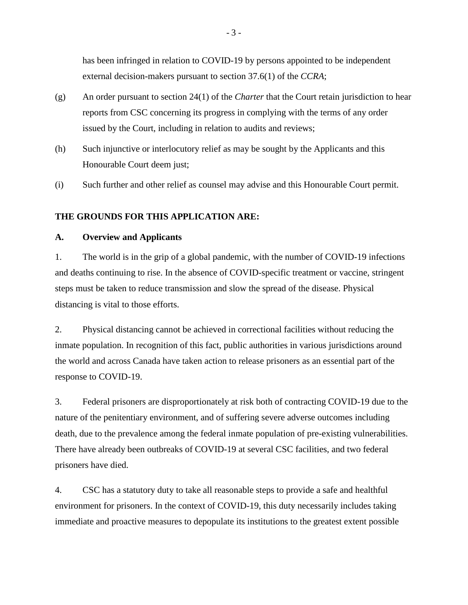has been infringed in relation to COVID-19 by persons appointed to be independent external decision-makers pursuant to section 37.6(1) of the *CCRA*;

- (g) An order pursuant to section 24(1) of the *Charter* that the Court retain jurisdiction to hear reports from CSC concerning its progress in complying with the terms of any order issued by the Court, including in relation to audits and reviews;
- (h) Such injunctive or interlocutory relief as may be sought by the Applicants and this Honourable Court deem just;
- (i) Such further and other relief as counsel may advise and this Honourable Court permit.

## **THE GROUNDS FOR THIS APPLICATION ARE:**

#### **A. Overview and Applicants**

1. The world is in the grip of a global pandemic, with the number of COVID-19 infections and deaths continuing to rise. In the absence of COVID-specific treatment or vaccine, stringent steps must be taken to reduce transmission and slow the spread of the disease. Physical distancing is vital to those efforts.

2. Physical distancing cannot be achieved in correctional facilities without reducing the inmate population. In recognition of this fact, public authorities in various jurisdictions around the world and across Canada have taken action to release prisoners as an essential part of the response to COVID-19.

3. Federal prisoners are disproportionately at risk both of contracting COVID-19 due to the nature of the penitentiary environment, and of suffering severe adverse outcomes including death, due to the prevalence among the federal inmate population of pre-existing vulnerabilities. There have already been outbreaks of COVID-19 at several CSC facilities, and two federal prisoners have died.

4. CSC has a statutory duty to take all reasonable steps to provide a safe and healthful environment for prisoners. In the context of COVID-19, this duty necessarily includes taking immediate and proactive measures to depopulate its institutions to the greatest extent possible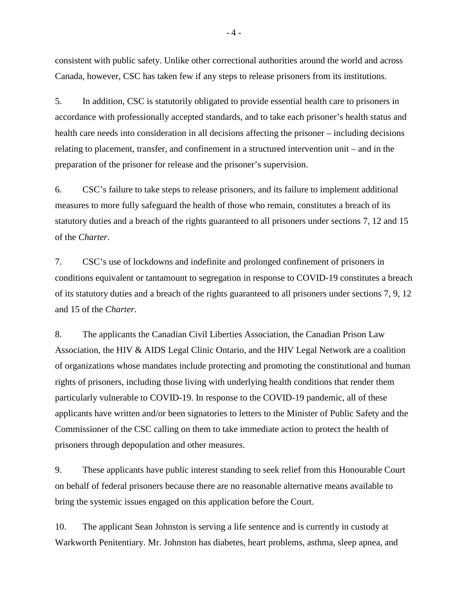consistent with public safety. Unlike other correctional authorities around the world and across Canada, however, CSC has taken few if any steps to release prisoners from its institutions.

5. In addition, CSC is statutorily obligated to provide essential health care to prisoners in accordance with professionally accepted standards, and to take each prisoner's health status and health care needs into consideration in all decisions affecting the prisoner – including decisions relating to placement, transfer, and confinement in a structured intervention unit – and in the preparation of the prisoner for release and the prisoner's supervision.

6. CSC's failure to take steps to release prisoners, and its failure to implement additional measures to more fully safeguard the health of those who remain, constitutes a breach of its statutory duties and a breach of the rights guaranteed to all prisoners under sections 7, 12 and 15 of the *Charter*.

7. CSC's use of lockdowns and indefinite and prolonged confinement of prisoners in conditions equivalent or tantamount to segregation in response to COVID-19 constitutes a breach of its statutory duties and a breach of the rights guaranteed to all prisoners under sections 7, 9, 12 and 15 of the *Charter*.

8. The applicants the Canadian Civil Liberties Association, the Canadian Prison Law Association, the HIV & AIDS Legal Clinic Ontario, and the HIV Legal Network are a coalition of organizations whose mandates include protecting and promoting the constitutional and human rights of prisoners, including those living with underlying health conditions that render them particularly vulnerable to COVID-19. In response to the COVID-19 pandemic, all of these applicants have written and/or been signatories to letters to the Minister of Public Safety and the Commissioner of the CSC calling on them to take immediate action to protect the health of prisoners through depopulation and other measures.

9. These applicants have public interest standing to seek relief from this Honourable Court on behalf of federal prisoners because there are no reasonable alternative means available to bring the systemic issues engaged on this application before the Court.

10. The applicant Sean Johnston is serving a life sentence and is currently in custody at Warkworth Penitentiary. Mr. Johnston has diabetes, heart problems, asthma, sleep apnea, and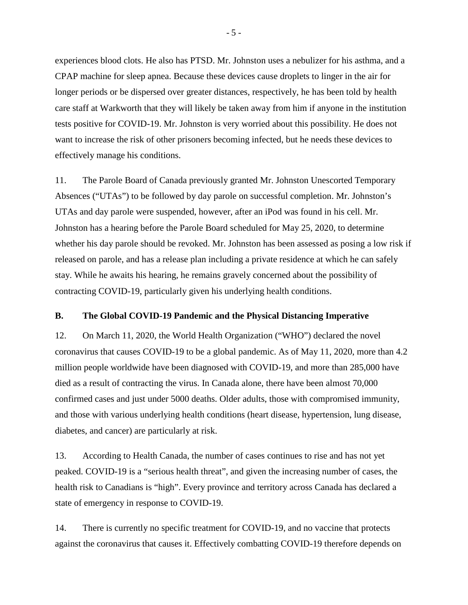experiences blood clots. He also has PTSD. Mr. Johnston uses a nebulizer for his asthma, and a CPAP machine for sleep apnea. Because these devices cause droplets to linger in the air for longer periods or be dispersed over greater distances, respectively, he has been told by health care staff at Warkworth that they will likely be taken away from him if anyone in the institution tests positive for COVID-19. Mr. Johnston is very worried about this possibility. He does not want to increase the risk of other prisoners becoming infected, but he needs these devices to effectively manage his conditions.

11. The Parole Board of Canada previously granted Mr. Johnston Unescorted Temporary Absences ("UTAs") to be followed by day parole on successful completion. Mr. Johnston's UTAs and day parole were suspended, however, after an iPod was found in his cell. Mr. Johnston has a hearing before the Parole Board scheduled for May 25, 2020, to determine whether his day parole should be revoked. Mr. Johnston has been assessed as posing a low risk if released on parole, and has a release plan including a private residence at which he can safely stay. While he awaits his hearing, he remains gravely concerned about the possibility of contracting COVID-19, particularly given his underlying health conditions.

## **B. The Global COVID-19 Pandemic and the Physical Distancing Imperative**

12. On March 11, 2020, the World Health Organization ("WHO") declared the novel coronavirus that causes COVID-19 to be a global pandemic. As of May 11, 2020, more than 4.2 million people worldwide have been diagnosed with COVID-19, and more than 285,000 have died as a result of contracting the virus. In Canada alone, there have been almost 70,000 confirmed cases and just under 5000 deaths. Older adults, those with compromised immunity, and those with various underlying health conditions (heart disease, hypertension, lung disease, diabetes, and cancer) are particularly at risk.

13. According to Health Canada, the number of cases continues to rise and has not yet peaked. COVID-19 is a "serious health threat", and given the increasing number of cases, the health risk to Canadians is "high". Every province and territory across Canada has declared a state of emergency in response to COVID-19.

14. There is currently no specific treatment for COVID-19, and no vaccine that protects against the coronavirus that causes it. Effectively combatting COVID-19 therefore depends on

- 5 -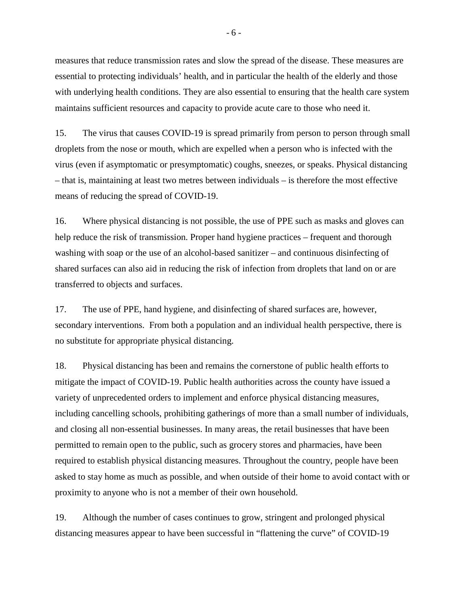measures that reduce transmission rates and slow the spread of the disease. These measures are essential to protecting individuals' health, and in particular the health of the elderly and those with underlying health conditions. They are also essential to ensuring that the health care system maintains sufficient resources and capacity to provide acute care to those who need it.

15. The virus that causes COVID-19 is spread primarily from person to person through small droplets from the nose or mouth, which are expelled when a person who is infected with the virus (even if asymptomatic or presymptomatic) coughs, sneezes, or speaks. Physical distancing – that is, maintaining at least two metres between individuals – is therefore the most effective means of reducing the spread of COVID-19.

16. Where physical distancing is not possible, the use of PPE such as masks and gloves can help reduce the risk of transmission. Proper hand hygiene practices – frequent and thorough washing with soap or the use of an alcohol-based sanitizer – and continuous disinfecting of shared surfaces can also aid in reducing the risk of infection from droplets that land on or are transferred to objects and surfaces.

17. The use of PPE, hand hygiene, and disinfecting of shared surfaces are, however, secondary interventions. From both a population and an individual health perspective, there is no substitute for appropriate physical distancing.

18. Physical distancing has been and remains the cornerstone of public health efforts to mitigate the impact of COVID-19. Public health authorities across the county have issued a variety of unprecedented orders to implement and enforce physical distancing measures, including cancelling schools, prohibiting gatherings of more than a small number of individuals, and closing all non-essential businesses. In many areas, the retail businesses that have been permitted to remain open to the public, such as grocery stores and pharmacies, have been required to establish physical distancing measures. Throughout the country, people have been asked to stay home as much as possible, and when outside of their home to avoid contact with or proximity to anyone who is not a member of their own household.

19. Although the number of cases continues to grow, stringent and prolonged physical distancing measures appear to have been successful in "flattening the curve" of COVID-19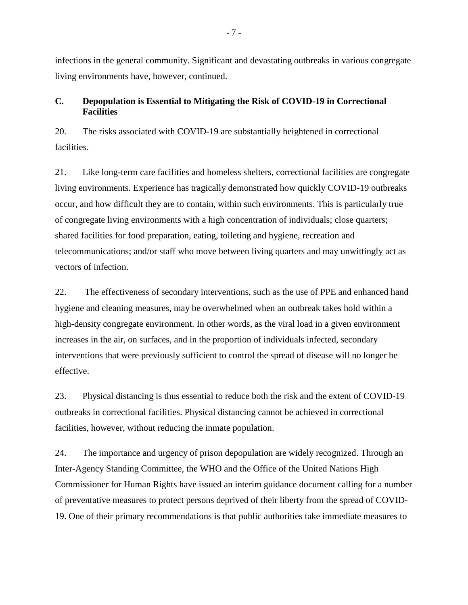infections in the general community. Significant and devastating outbreaks in various congregate living environments have, however, continued.

## **C. Depopulation is Essential to Mitigating the Risk of COVID-19 in Correctional Facilities**

20. The risks associated with COVID-19 are substantially heightened in correctional facilities.

21. Like long-term care facilities and homeless shelters, correctional facilities are congregate living environments. Experience has tragically demonstrated how quickly COVID-19 outbreaks occur, and how difficult they are to contain, within such environments. This is particularly true of congregate living environments with a high concentration of individuals; close quarters; shared facilities for food preparation, eating, toileting and hygiene, recreation and telecommunications; and/or staff who move between living quarters and may unwittingly act as vectors of infection.

22. The effectiveness of secondary interventions, such as the use of PPE and enhanced hand hygiene and cleaning measures, may be overwhelmed when an outbreak takes hold within a high-density congregate environment. In other words, as the viral load in a given environment increases in the air, on surfaces, and in the proportion of individuals infected, secondary interventions that were previously sufficient to control the spread of disease will no longer be effective.

23. Physical distancing is thus essential to reduce both the risk and the extent of COVID-19 outbreaks in correctional facilities. Physical distancing cannot be achieved in correctional facilities, however, without reducing the inmate population.

24. The importance and urgency of prison depopulation are widely recognized. Through an Inter-Agency Standing Committee, the WHO and the Office of the United Nations High Commissioner for Human Rights have issued an interim guidance document calling for a number of preventative measures to protect persons deprived of their liberty from the spread of COVID-19. One of their primary recommendations is that public authorities take immediate measures to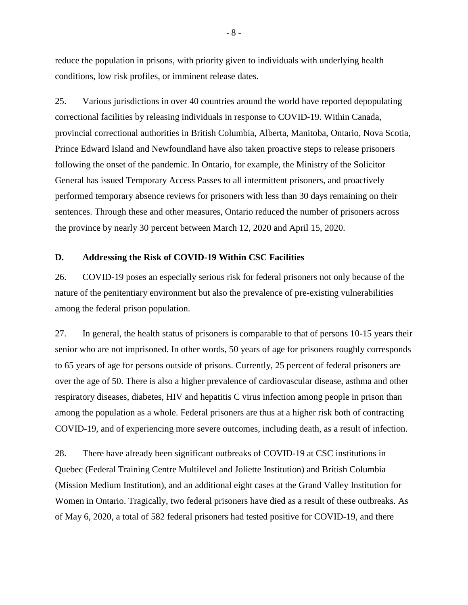reduce the population in prisons, with priority given to individuals with underlying health conditions, low risk profiles, or imminent release dates.

25. Various jurisdictions in over 40 countries around the world have reported depopulating correctional facilities by releasing individuals in response to COVID-19. Within Canada, provincial correctional authorities in British Columbia, Alberta, Manitoba, Ontario, Nova Scotia, Prince Edward Island and Newfoundland have also taken proactive steps to release prisoners following the onset of the pandemic. In Ontario, for example, the Ministry of the Solicitor General has issued Temporary Access Passes to all intermittent prisoners, and proactively performed temporary absence reviews for prisoners with less than 30 days remaining on their sentences. Through these and other measures, Ontario reduced the number of prisoners across the province by nearly 30 percent between March 12, 2020 and April 15, 2020.

#### **D. Addressing the Risk of COVID-19 Within CSC Facilities**

26. COVID-19 poses an especially serious risk for federal prisoners not only because of the nature of the penitentiary environment but also the prevalence of pre-existing vulnerabilities among the federal prison population.

27. In general, the health status of prisoners is comparable to that of persons 10-15 years their senior who are not imprisoned. In other words, 50 years of age for prisoners roughly corresponds to 65 years of age for persons outside of prisons. Currently, 25 percent of federal prisoners are over the age of 50. There is also a higher prevalence of cardiovascular disease, asthma and other respiratory diseases, diabetes, HIV and hepatitis C virus infection among people in prison than among the population as a whole. Federal prisoners are thus at a higher risk both of contracting COVID-19, and of experiencing more severe outcomes, including death, as a result of infection.

28. There have already been significant outbreaks of COVID-19 at CSC institutions in Quebec (Federal Training Centre Multilevel and Joliette Institution) and British Columbia (Mission Medium Institution), and an additional eight cases at the Grand Valley Institution for Women in Ontario. Tragically, two federal prisoners have died as a result of these outbreaks. As of May 6, 2020, a total of 582 federal prisoners had tested positive for COVID-19, and there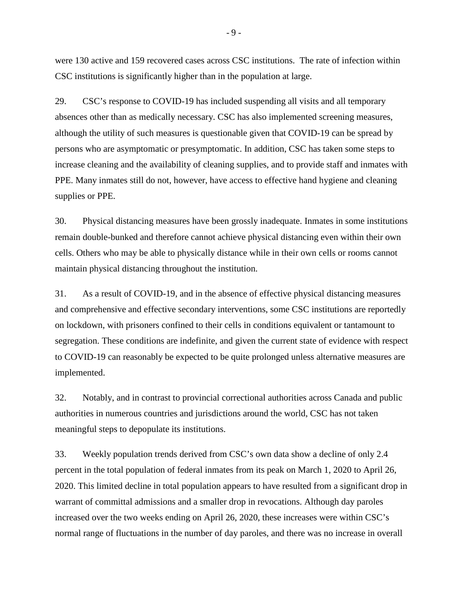were 130 active and 159 recovered cases across CSC institutions. The rate of infection within CSC institutions is significantly higher than in the population at large.

29. CSC's response to COVID-19 has included suspending all visits and all temporary absences other than as medically necessary. CSC has also implemented screening measures, although the utility of such measures is questionable given that COVID-19 can be spread by persons who are asymptomatic or presymptomatic. In addition, CSC has taken some steps to increase cleaning and the availability of cleaning supplies, and to provide staff and inmates with PPE. Many inmates still do not, however, have access to effective hand hygiene and cleaning supplies or PPE.

30. Physical distancing measures have been grossly inadequate. Inmates in some institutions remain double-bunked and therefore cannot achieve physical distancing even within their own cells. Others who may be able to physically distance while in their own cells or rooms cannot maintain physical distancing throughout the institution.

31. As a result of COVID-19, and in the absence of effective physical distancing measures and comprehensive and effective secondary interventions, some CSC institutions are reportedly on lockdown, with prisoners confined to their cells in conditions equivalent or tantamount to segregation. These conditions are indefinite, and given the current state of evidence with respect to COVID-19 can reasonably be expected to be quite prolonged unless alternative measures are implemented.

32. Notably, and in contrast to provincial correctional authorities across Canada and public authorities in numerous countries and jurisdictions around the world, CSC has not taken meaningful steps to depopulate its institutions.

33. Weekly population trends derived from CSC's own data show a decline of only 2.4 percent in the total population of federal inmates from its peak on March 1, 2020 to April 26, 2020. This limited decline in total population appears to have resulted from a significant drop in warrant of committal admissions and a smaller drop in revocations. Although day paroles increased over the two weeks ending on April 26, 2020, these increases were within CSC's normal range of fluctuations in the number of day paroles, and there was no increase in overall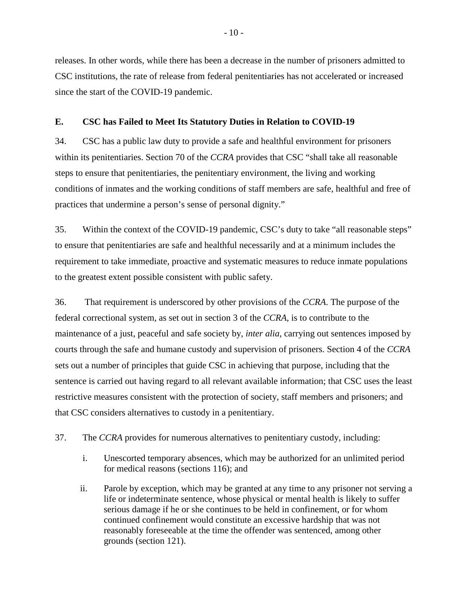releases. In other words, while there has been a decrease in the number of prisoners admitted to CSC institutions, the rate of release from federal penitentiaries has not accelerated or increased since the start of the COVID-19 pandemic.

## **E. CSC has Failed to Meet Its Statutory Duties in Relation to COVID-19**

34. CSC has a public law duty to provide a safe and healthful environment for prisoners within its penitentiaries. Section 70 of the *CCRA* provides that CSC "shall take all reasonable steps to ensure that penitentiaries, the penitentiary environment, the living and working conditions of inmates and the working conditions of staff members are safe, healthful and free of practices that undermine a person's sense of personal dignity."

35. Within the context of the COVID-19 pandemic, CSC's duty to take "all reasonable steps" to ensure that penitentiaries are safe and healthful necessarily and at a minimum includes the requirement to take immediate, proactive and systematic measures to reduce inmate populations to the greatest extent possible consistent with public safety.

36. That requirement is underscored by other provisions of the *CCRA*. The purpose of the federal correctional system, as set out in section 3 of the *CCRA*, is to contribute to the maintenance of a just, peaceful and safe society by, *inter alia*, carrying out sentences imposed by courts through the safe and humane custody and supervision of prisoners. Section 4 of the *CCRA* sets out a number of principles that guide CSC in achieving that purpose, including that the sentence is carried out having regard to all relevant available information; that CSC uses the least restrictive measures consistent with the protection of society, staff members and prisoners; and that CSC considers alternatives to custody in a penitentiary.

37. The *CCRA* provides for numerous alternatives to penitentiary custody, including:

- i. Unescorted temporary absences, which may be authorized for an unlimited period for medical reasons (sections 116); and
- ii. Parole by exception, which may be granted at any time to any prisoner not serving a life or indeterminate sentence, whose physical or mental health is likely to suffer serious damage if he or she continues to be held in confinement, or for whom continued confinement would constitute an excessive hardship that was not reasonably foreseeable at the time the offender was sentenced, among other grounds (section 121).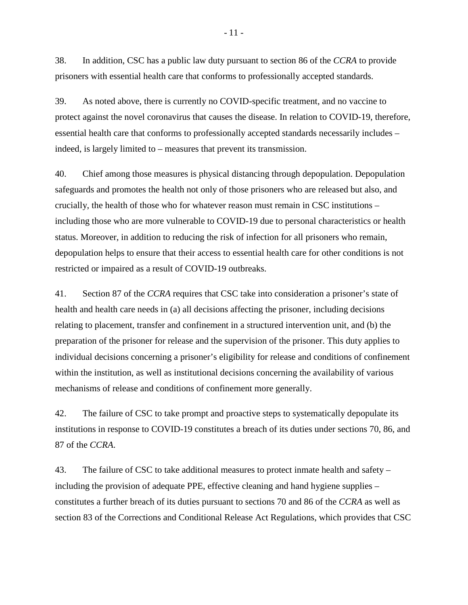38. In addition, CSC has a public law duty pursuant to section 86 of the *CCRA* to provide prisoners with essential health care that conforms to professionally accepted standards.

39. As noted above, there is currently no COVID-specific treatment, and no vaccine to protect against the novel coronavirus that causes the disease. In relation to COVID-19, therefore, essential health care that conforms to professionally accepted standards necessarily includes – indeed, is largely limited to – measures that prevent its transmission.

40. Chief among those measures is physical distancing through depopulation. Depopulation safeguards and promotes the health not only of those prisoners who are released but also, and crucially, the health of those who for whatever reason must remain in CSC institutions – including those who are more vulnerable to COVID-19 due to personal characteristics or health status. Moreover, in addition to reducing the risk of infection for all prisoners who remain, depopulation helps to ensure that their access to essential health care for other conditions is not restricted or impaired as a result of COVID-19 outbreaks.

41. Section 87 of the *CCRA* requires that CSC take into consideration a prisoner's state of health and health care needs in (a) all decisions affecting the prisoner, including decisions relating to placement, transfer and confinement in a structured intervention unit, and (b) the preparation of the prisoner for release and the supervision of the prisoner. This duty applies to individual decisions concerning a prisoner's eligibility for release and conditions of confinement within the institution, as well as institutional decisions concerning the availability of various mechanisms of release and conditions of confinement more generally.

42. The failure of CSC to take prompt and proactive steps to systematically depopulate its institutions in response to COVID-19 constitutes a breach of its duties under sections 70, 86, and 87 of the *CCRA*.

43. The failure of CSC to take additional measures to protect inmate health and safety – including the provision of adequate PPE, effective cleaning and hand hygiene supplies – constitutes a further breach of its duties pursuant to sections 70 and 86 of the *CCRA* as well as section 83 of the Corrections and Conditional Release Act Regulations, which provides that CSC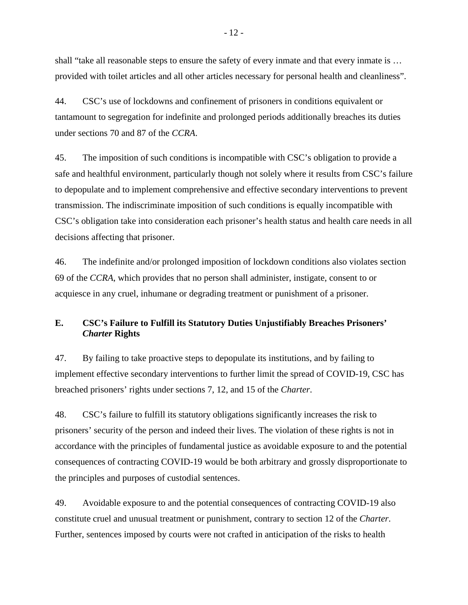shall "take all reasonable steps to ensure the safety of every inmate and that every inmate is … provided with toilet articles and all other articles necessary for personal health and cleanliness".

44. CSC's use of lockdowns and confinement of prisoners in conditions equivalent or tantamount to segregation for indefinite and prolonged periods additionally breaches its duties under sections 70 and 87 of the *CCRA*.

45. The imposition of such conditions is incompatible with CSC's obligation to provide a safe and healthful environment, particularly though not solely where it results from CSC's failure to depopulate and to implement comprehensive and effective secondary interventions to prevent transmission. The indiscriminate imposition of such conditions is equally incompatible with CSC's obligation take into consideration each prisoner's health status and health care needs in all decisions affecting that prisoner.

46. The indefinite and/or prolonged imposition of lockdown conditions also violates section 69 of the *CCRA*, which provides that no person shall administer, instigate, consent to or acquiesce in any cruel, inhumane or degrading treatment or punishment of a prisoner.

# **E. CSC's Failure to Fulfill its Statutory Duties Unjustifiably Breaches Prisoners'** *Charter* **Rights**

47. By failing to take proactive steps to depopulate its institutions, and by failing to implement effective secondary interventions to further limit the spread of COVID-19, CSC has breached prisoners' rights under sections 7, 12, and 15 of the *Charter*.

48. CSC's failure to fulfill its statutory obligations significantly increases the risk to prisoners' security of the person and indeed their lives. The violation of these rights is not in accordance with the principles of fundamental justice as avoidable exposure to and the potential consequences of contracting COVID-19 would be both arbitrary and grossly disproportionate to the principles and purposes of custodial sentences.

49. Avoidable exposure to and the potential consequences of contracting COVID-19 also constitute cruel and unusual treatment or punishment, contrary to section 12 of the *Charter*. Further, sentences imposed by courts were not crafted in anticipation of the risks to health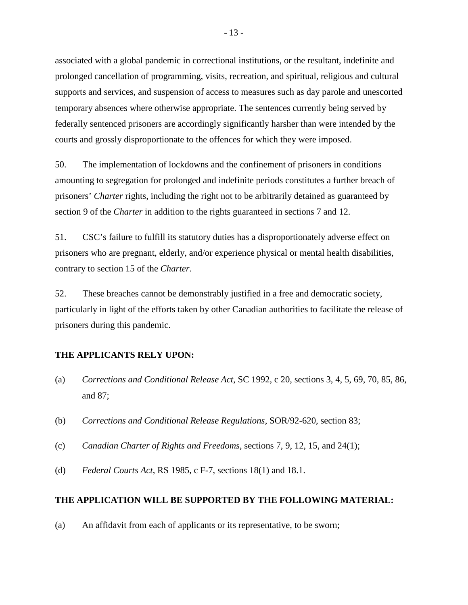associated with a global pandemic in correctional institutions, or the resultant, indefinite and prolonged cancellation of programming, visits, recreation, and spiritual, religious and cultural supports and services, and suspension of access to measures such as day parole and unescorted temporary absences where otherwise appropriate. The sentences currently being served by federally sentenced prisoners are accordingly significantly harsher than were intended by the courts and grossly disproportionate to the offences for which they were imposed.

50. The implementation of lockdowns and the confinement of prisoners in conditions amounting to segregation for prolonged and indefinite periods constitutes a further breach of prisoners' *Charter* rights, including the right not to be arbitrarily detained as guaranteed by section 9 of the *Charter* in addition to the rights guaranteed in sections 7 and 12.

51. CSC's failure to fulfill its statutory duties has a disproportionately adverse effect on prisoners who are pregnant, elderly, and/or experience physical or mental health disabilities, contrary to section 15 of the *Charter*.

52. These breaches cannot be demonstrably justified in a free and democratic society, particularly in light of the efforts taken by other Canadian authorities to facilitate the release of prisoners during this pandemic.

## **THE APPLICANTS RELY UPON:**

- (a) *Corrections and Conditional Release Act*, SC 1992, c 20, sections 3, 4, 5, 69, 70, 85, 86, and 87;
- (b) *Corrections and Conditional Release Regulations*, SOR/92-620, section 83;
- (c) *Canadian Charter of Rights and Freedoms*, sections 7, 9, 12, 15, and 24(1);
- (d) *Federal Courts Act*, RS 1985, c F-7, sections 18(1) and 18.1.

## **THE APPLICATION WILL BE SUPPORTED BY THE FOLLOWING MATERIAL:**

(a) An affidavit from each of applicants or its representative, to be sworn;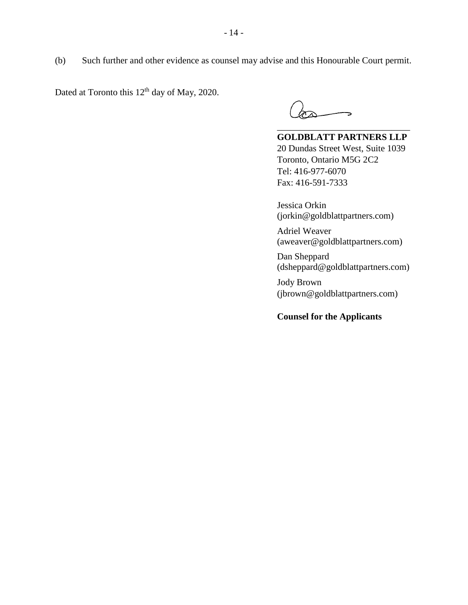(b) Such further and other evidence as counsel may advise and this Honourable Court permit.

Dated at Toronto this  $12<sup>th</sup>$  day of May, 2020.

**GOLDBLATT PARTNERS LLP** 20 Dundas Street West, Suite 1039 Toronto, Ontario M5G 2C2 Tel: 416-977-6070 Fax: 416-591-7333

\_\_\_\_\_\_\_\_\_\_\_\_\_\_\_\_\_\_\_\_\_\_\_\_\_\_\_\_\_

Jessica Orkin (jorkin@goldblattpartners.com)

Adriel Weaver (aweaver@goldblattpartners.com)

Dan Sheppard (dsheppard@goldblattpartners.com)

Jody Brown (jbrown@goldblattpartners.com)

# **Counsel for the Applicants**